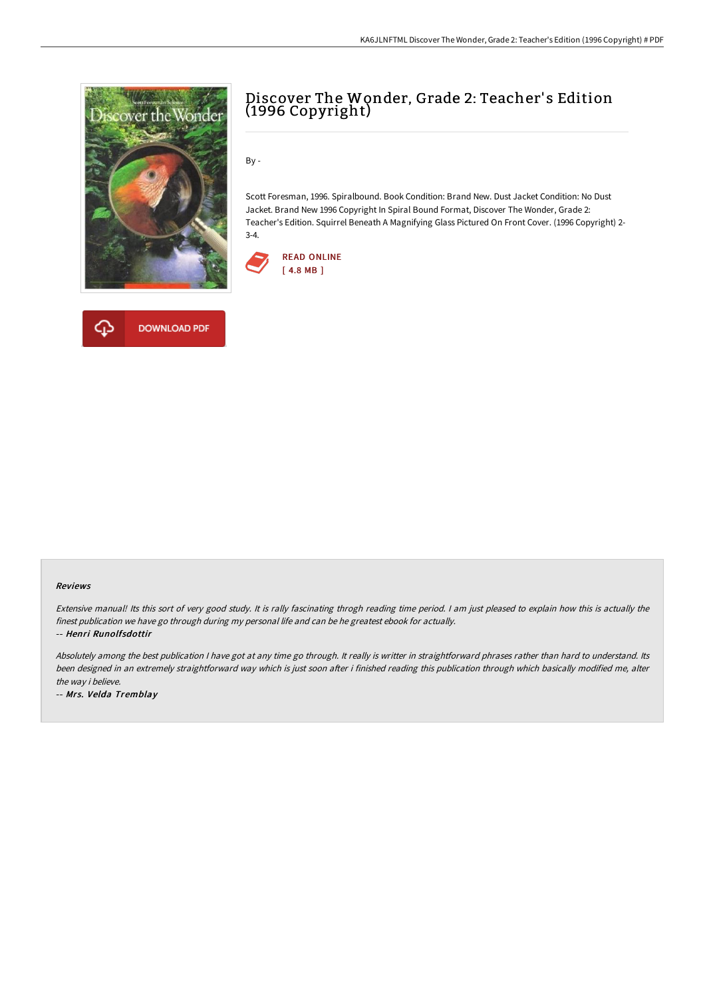

**DOWNLOAD PDF** 



By -

Scott Foresman, 1996. Spiralbound. Book Condition: Brand New. Dust Jacket Condition: No Dust Jacket. Brand New 1996 Copyright In Spiral Bound Format, Discover The Wonder, Grade 2: Teacher's Edition. Squirrel Beneath A Magnifying Glass Pictured On Front Cover. (1996 Copyright) 2- 3-4.





Extensive manual! Its this sort of very good study. It is rally fascinating throgh reading time period. <sup>I</sup> am just pleased to explain how this is actually the finest publication we have go through during my personal life and can be he greatest ebook for actually.

-- Henri Runolfsdottir

ረጉ

Absolutely among the best publication I have got at any time go through. It really is writter in straightforward phrases rather than hard to understand. Its been designed in an extremely straightforward way which is just soon after i finished reading this publication through which basically modified me, alter the way i believe.

-- Mrs. Velda Tremblay